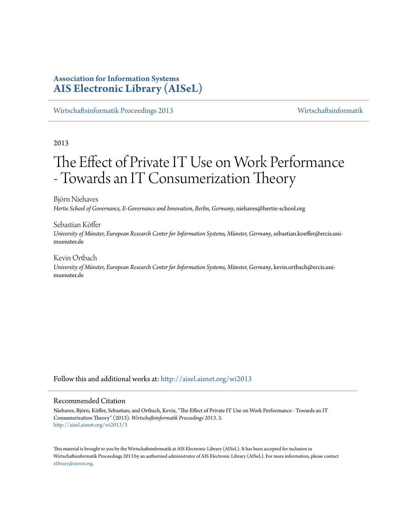# **Association for Information Systems [AIS Electronic Library \(AISeL\)](http://aisel.aisnet.org?utm_source=aisel.aisnet.org%2Fwi2013%2F3&utm_medium=PDF&utm_campaign=PDFCoverPages)**

[Wirtschaftsinformatik Proceedings 2013](http://aisel.aisnet.org/wi2013?utm_source=aisel.aisnet.org%2Fwi2013%2F3&utm_medium=PDF&utm_campaign=PDFCoverPages) [Wirtschaftsinformatik](http://aisel.aisnet.org/wi?utm_source=aisel.aisnet.org%2Fwi2013%2F3&utm_medium=PDF&utm_campaign=PDFCoverPages)

2013

# The Effect of Private IT Use on Work Performance - Towards an IT Consumerization Theory

Björn Niehaves *Hertie School of Governance, E-Governance and Innovation, Berlin, Germany*, niehaves@hertie-school.org

Sebastian Köffer *University of Münster, European Research Center for Information Systems, Münster, Germany*, sebastian.koeffer@ercis.unimuenster.de

Kevin Ortbach *University of Münster, European Research Center for Information Systems, Münster, Germany*, kevin.ortbach@ercis.unimuenster.de

Follow this and additional works at: [http://aisel.aisnet.org/wi2013](http://aisel.aisnet.org/wi2013?utm_source=aisel.aisnet.org%2Fwi2013%2F3&utm_medium=PDF&utm_campaign=PDFCoverPages)

#### Recommended Citation

Niehaves, Björn; Köffer, Sebastian; and Ortbach, Kevin, "The Effect of Private IT Use on Work Performance - Towards an IT Consumerization Theory" (2013). *Wirtschaftsinformatik Proceedings 2013*. 3. [http://aisel.aisnet.org/wi2013/3](http://aisel.aisnet.org/wi2013/3?utm_source=aisel.aisnet.org%2Fwi2013%2F3&utm_medium=PDF&utm_campaign=PDFCoverPages)

This material is brought to you by the Wirtschaftsinformatik at AIS Electronic Library (AISeL). It has been accepted for inclusion in Wirtschaftsinformatik Proceedings 2013 by an authorized administrator of AIS Electronic Library (AISeL). For more information, please contact [elibrary@aisnet.org.](mailto:elibrary@aisnet.org%3E)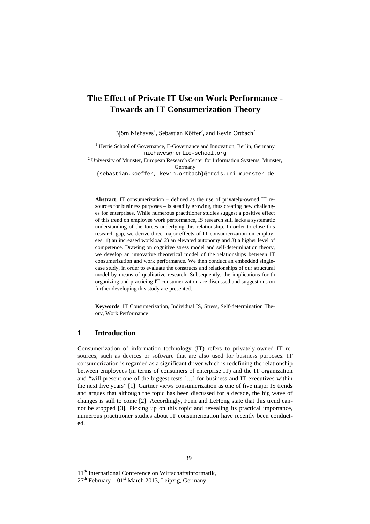# **The Effect of Private IT Use on Work Performance - Towards an IT Consumerization Theory**

Björn Niehaves<sup>1</sup>, Sebastian Köffer<sup>2</sup>, and Kevin Ortbach<sup>2</sup>

<sup>1</sup> Hertie School of Governance, E-Governance and Innovation, Berlin, Germany niehaves@hertie-school.org

<sup>2</sup> University of Münster, European Research Center for Information Systems, Münster, Germany

{sebastian.koeffer, kevin.ortbach}@ercis.uni-muenster.de

**Abstract**. IT consumerization – defined as the use of privately-owned IT resources for business purposes – is steadily growing, thus creating new challenges for enterprises. While numerous practitioner studies suggest a positive effect of this trend on employee work performance, IS research still lacks a systematic understanding of the forces underlying this relationship. In order to close this research gap, we derive three major effects of IT consumerization on employees: 1) an increased workload 2) an elevated autonomy and 3) a higher level of competence. Drawing on cognitive stress model and self-determination theory, we develop an innovative theoretical model of the relationships between IT consumerization and work performance. We then conduct an embedded singlecase study, in order to evaluate the constructs and relationships of our structural model by means of qualitative research. Subsequently, the implications for th organizing and practicing IT consumerization are discussed and suggestions on further developing this study are presented.

**Keywords**: IT Consumerization, Individual IS, Stress, Self-determination Theory, Work Performance

# **1 Introduction**

Consumerization of information technology (IT) refers to privately-owned IT resources, such as devices or software that are also used for business purposes. IT consumerization is regarded as a significant driver which is redefining the relationship between employees (in terms of consumers of enterprise IT) and the IT organization and "will present one of the biggest tests […] for business and IT executives within the next five years" [1]. Gartner views consumerization as one of five major IS trends and argues that although the topic has been discussed for a decade, the big wave of changes is still to come [2]. Accordingly, Fenn and LeHong state that this trend cannot be stopped [3]. Picking up on this topic and revealing its practical importance, numerous practitioner studies about IT consumerization have recently been conducted.

11<sup>th</sup> International Conference on Wirtschaftsinformatik,

 $27<sup>th</sup>$  February – 01<sup>st</sup> March 2013, Leipzig, Germany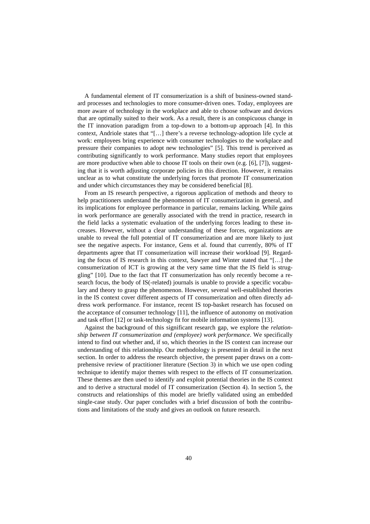A fundamental element of IT consumerization is a shift of business-owned standard processes and technologies to more consumer-driven ones. Today, employees are more aware of technology in the workplace and able to choose software and devices that are optimally suited to their work. As a result, there is an conspicuous change in the IT innovation paradigm from a top-down to a bottom-up approach [4]. In this context, Andriole states that "[…] there's a reverse technology-adoption life cycle at work: employees bring experience with consumer technologies to the workplace and pressure their companies to adopt new technologies" [5]. This trend is perceived as contributing significantly to work performance. Many studies report that employees are more productive when able to choose IT tools on their own (e.g. [6], [7]), suggesting that it is worth adjusting corporate policies in this direction. However, it remains unclear as to what constitute the underlying forces that promote IT consumerization and under which circumstances they may be considered beneficial [8].

From an IS research perspective, a rigorous application of methods and theory to help practitioners understand the phenomenon of IT consumerization in general, and its implications for employee performance in particular, remains lacking. While gains in work performance are generally associated with the trend in practice, research in the field lacks a systematic evaluation of the underlying forces leading to these increases. However, without a clear understanding of these forces, organizations are unable to reveal the full potential of IT consumerization and are more likely to just see the negative aspects. For instance, Gens et al. found that currently, 80% of IT departments agree that IT consumerization will increase their workload [9]. Regarding the focus of IS research in this context, Sawyer and Winter stated that "[…] the consumerization of ICT is growing at the very same time that the IS field is struggling" [10]. Due to the fact that IT consumerization has only recently become a research focus, the body of IS(-related) journals is unable to provide a specific vocabulary and theory to grasp the phenomenon. However, several well-established theories in the IS context cover different aspects of IT consumerization and often directly address work performance. For instance, recent IS top-basket research has focused on the acceptance of consumer technology [11], the influence of autonomy on motivation and task effort [12] or task-technology fit for mobile information systems [13].

Against the background of this significant research gap, we explore the *relationship between IT consumerization and (employee) work performance*. We specifically intend to find out whether and, if so, which theories in the IS context can increase our understanding of this relationship. Our methodology is presented in detail in the next section. In order to address the research objective, the present paper draws on a comprehensive review of practitioner literature (Section 3) in which we use open coding technique to identify major themes with respect to the effects of IT consumerization. These themes are then used to identify and exploit potential theories in the IS context and to derive a structural model of IT consumerization (Section 4). In section 5, the constructs and relationships of this model are briefly validated using an embedded single-case study. Our paper concludes with a brief discussion of both the contributions and limitations of the study and gives an outlook on future research.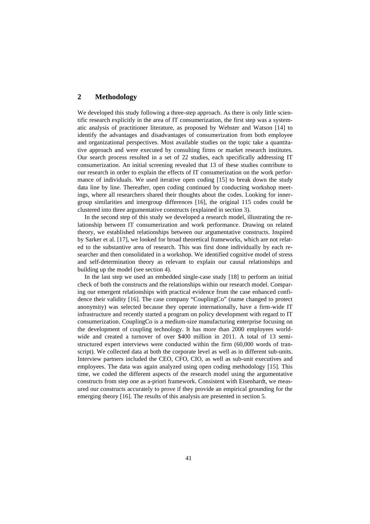# **2 Methodology**

We developed this study following a three-step approach. As there is only little scientific research explicitly in the area of IT consumerization, the first step was a systematic analysis of practitioner literature, as proposed by Webster and Watson [14] to identify the advantages and disadvantages of consumerization from both employee and organizational perspectives. Most available studies on the topic take a quantitative approach and were executed by consulting firms or market research institutes. Our search process resulted in a set of 22 studies, each specifically addressing IT consumerization. An initial screening revealed that 13 of these studies contribute to our research in order to explain the effects of IT consumerization on the work performance of individuals. We used iterative open coding [15] to break down the study data line by line. Thereafter, open coding continued by conducting workshop meetings, where all researchers shared their thoughts about the codes. Looking for innergroup similarities and intergroup differences [16], the original 115 codes could be clustered into three argumentative constructs (explained in section 3).

In the second step of this study we developed a research model, illustrating the relationship between IT consumerization and work performance. Drawing on related theory, we established relationships between our argumentative constructs. Inspired by Sarker et al. [17], we looked for broad theoretical frameworks, which are not related to the substantive area of research. This was first done individually by each researcher and then consolidated in a workshop. We identified cognitive model of stress and self-determination theory as relevant to explain our causal relationships and building up the model (see section 4).

In the last step we used an embedded single-case study [18] to perform an initial check of both the constructs and the relationships within our research model. Comparing our emergent relationships with practical evidence from the case enhanced confidence their validity [16]. The case company "CouplingCo" (name changed to protect anonymity) was selected because they operate internationally, have a firm-wide IT infrastructure and recently started a program on policy development with regard to IT consumerization. CouplingCo is a medium-size manufacturing enterprise focusing on the development of coupling technology. It has more than 2000 employees worldwide and created a turnover of over \$400 million in 2011. A total of 13 semistructured expert interviews were conducted within the firm (60,000 words of transcript). We collected data at both the corporate level as well as in different sub-units. Interview partners included the CEO, CFO, CIO, as well as sub-unit executives and employees. The data was again analyzed using open coding methodology [15]. This time, we coded the different aspects of the research model using the argumentative constructs from step one as a-priori framework. Consistent with Eisenhardt, we measured our constructs accurately to prove if they provide an empirical grounding for the emerging theory [16]. The results of this analysis are presented in section 5.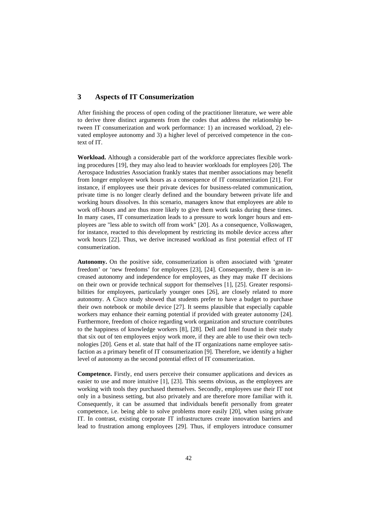# **3 Aspects of IT Consumerization**

After finishing the process of open coding of the practitioner literature, we were able to derive three distinct arguments from the codes that address the relationship between IT consumerization and work performance: 1) an increased workload, 2) elevated employee autonomy and 3) a higher level of perceived competence in the context of IT.

**Workload.** Although a considerable part of the workforce appreciates flexible working procedures [19], they may also lead to heavier workloads for employees [20]. The Aerospace Industries Association frankly states that member associations may benefit from longer employee work hours as a consequence of IT consumerization [21]. For instance, if employees use their private devices for business-related communication, private time is no longer clearly defined and the boundary between private life and working hours dissolves. In this scenario, managers know that employees are able to work off-hours and are thus more likely to give them work tasks during these times. In many cases, IT consumerization leads to a pressure to work longer hours and employees are "less able to switch off from work" [20]. As a consequence, Volkswagen, for instance, reacted to this development by restricting its mobile device access after work hours [22]. Thus, we derive increased workload as first potential effect of IT consumerization.

**Autonomy.** On the positive side, consumerization is often associated with 'greater freedom' or 'new freedoms' for employees [23], [24]. Consequently, there is an increased autonomy and independence for employees, as they may make IT decisions on their own or provide technical support for themselves [1], [25]. Greater responsibilities for employees, particularly younger ones [26], are closely related to more autonomy. A Cisco study showed that students prefer to have a budget to purchase their own notebook or mobile device [27]. It seems plausible that especially capable workers may enhance their earning potential if provided with greater autonomy [24]. Furthermore, freedom of choice regarding work organization and structure contributes to the happiness of knowledge workers [8], [28]. Dell and Intel found in their study that six out of ten employees enjoy work more, if they are able to use their own technologies [20]. Gens et al. state that half of the IT organizations name employee satisfaction as a primary benefit of IT consumerization [9]. Therefore, we identify a higher level of autonomy as the second potential effect of IT consumerization.

**Competence.** Firstly, end users perceive their consumer applications and devices as easier to use and more intuitive [1], [23]. This seems obvious, as the employees are working with tools they purchased themselves. Secondly, employees use their IT not only in a business setting, but also privately and are therefore more familiar with it. Consequently, it can be assumed that individuals benefit personally from greater competence, i.e. being able to solve problems more easily [20], when using private IT. In contrast, existing corporate IT infrastructures create innovation barriers and lead to frustration among employees [29]. Thus, if employers introduce consumer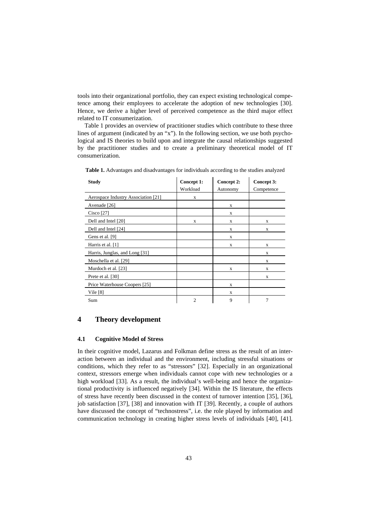tools into their organizational portfolio, they can expect existing technological competence among their employees to accelerate the adoption of new technologies [30]. Hence, we derive a higher level of perceived competence as the third major effect related to IT consumerization.

Table 1 provides an overview of practitioner studies which contribute to these three lines of argument (indicated by an "x"). In the following section, we use both psychological and IS theories to build upon and integrate the causal relationships suggested by the practitioner studies and to create a preliminary theoretical model of IT consumerization.

| <b>Study</b>                        | Concept 1:<br>Workload | Concept 2:<br>Autonomy | Concept 3:<br>Competence |
|-------------------------------------|------------------------|------------------------|--------------------------|
| Aerospace Industry Association [21] | X                      |                        |                          |
| Avenade [26]                        |                        | X                      |                          |
| Cisco $[27]$                        |                        | X                      |                          |
| Dell and Intel [20]                 | X                      | X                      | X                        |
| Dell and Intel [24]                 |                        | X                      | X                        |
| Gens et al. [9]                     |                        | X                      |                          |
| Harris et al. [1]                   |                        | X                      | X                        |
| Harris, Junglas, and Long [31]      |                        |                        | X                        |
| Moschella et al. [29]               |                        |                        | X                        |
| Murdoch et al. [23]                 |                        | X                      | X                        |
| Prete et al. [30]                   |                        |                        | X                        |
| Price Waterhouse Coopers [25]       |                        | X                      |                          |
| Vile $[8]$                          |                        | X                      |                          |
| Sum                                 | $\overline{2}$         | 9                      | 7                        |

**Table 1.** Advantages and disadvantages for individuals according to the studies analyzed

# **4 Theory development**

# **4.1 Cognitive Model of Stress**

In their cognitive model, Lazarus and Folkman define stress as the result of an interaction between an individual and the environment, including stressful situations or conditions, which they refer to as "stressors" [32]. Especially in an organizational context, stressors emerge when individuals cannot cope with new technologies or a high workload [33]. As a result, the individual's well-being and hence the organizational productivity is influenced negatively [34]. Within the IS literature, the effects of stress have recently been discussed in the context of turnover intention [35], [36], job satisfaction [37], [38] and innovation with IT [39]. Recently, a couple of authors have discussed the concept of "technostress", i.e. the role played by information and communication technology in creating higher stress levels of individuals [40], [41].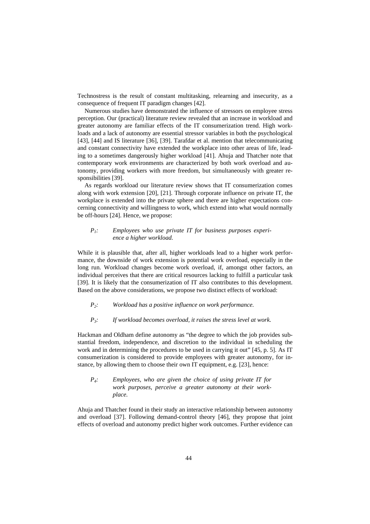Technostress is the result of constant multitasking, relearning and insecurity, as a consequence of frequent IT paradigm changes [42].

Numerous studies have demonstrated the influence of stressors on employee stress perception. Our (practical) literature review revealed that an increase in workload and greater autonomy are familiar effects of the IT consumerization trend. High workloads and a lack of autonomy are essential stressor variables in both the psychological [43], [44] and IS literature [36], [39]. Tarafdar et al. mention that telecommunicating and constant connectivity have extended the workplace into other areas of life, leading to a sometimes dangerously higher workload [41]. Ahuja and Thatcher note that contemporary work environments are characterized by both work overload and autonomy, providing workers with more freedom, but simultaneously with greater responsibilities [39].

As regards workload our literature review shows that IT consumerization comes along with work extension [20], [21]. Through corporate influence on private IT, the workplace is extended into the private sphere and there are higher expectations concerning connectivity and willingness to work, which extend into what would normally be off-hours [24]. Hence, we propose:

#### *P1: Employees who use private IT for business purposes experience a higher workload.*

While it is plausible that, after all, higher workloads lead to a higher work performance, the downside of work extension is potential work overload, especially in the long run. Workload changes become work overload, if, amongst other factors, an individual perceives that there are critical resources lacking to fulfill a particular task [39]. It is likely that the consumerization of IT also contributes to this development. Based on the above considerations, we propose two distinct effects of workload:

*P2: Workload has a positive influence on work performance.*

#### *P3: If workload becomes overload, it raises the stress level at work.*

Hackman and Oldham define autonomy as "the degree to which the job provides substantial freedom, independence, and discretion to the individual in scheduling the work and in determining the procedures to be used in carrying it out" [45, p. 5]. As IT consumerization is considered to provide employees with greater autonomy, for instance, by allowing them to choose their own IT equipment, e.g. [23], hence:

#### *P4: Employees, who are given the choice of using private IT for work purposes, perceive a greater autonomy at their workplace.*

Ahuja and Thatcher found in their study an interactive relationship between autonomy and overload [37]. Following demand-control theory [46], they propose that joint effects of overload and autonomy predict higher work outcomes. Further evidence can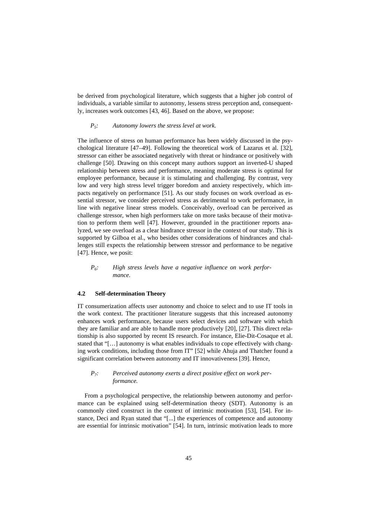be derived from psychological literature, which suggests that a higher job control of individuals, a variable similar to autonomy, lessens stress perception and, consequently, increases work outcomes [43, 46]. Based on the above, we propose:

#### *P5: Autonomy lowers the stress level at work.*

The influence of stress on human performance has been widely discussed in the psychological literature [47–49]. Following the theoretical work of Lazarus et al. [32], stressor can either be associated negatively with threat or hindrance or positively with challenge [50]. Drawing on this concept many authors support an inverted-U shaped relationship between stress and performance, meaning moderate stress is optimal for employee performance, because it is stimulating and challenging. By contrast, very low and very high stress level trigger boredom and anxiety respectively, which impacts negatively on performance [51]. As our study focuses on work overload as essential stressor, we consider perceived stress as detrimental to work performance, in line with negative linear stress models. Conceivably, overload can be perceived as challenge stressor, when high performers take on more tasks because of their motivation to perform them well [47]. However, grounded in the practitioner reports analyzed, we see overload as a clear hindrance stressor in the context of our study. This is supported by Gilboa et al., who besides other considerations of hindrances and challenges still expects the relationship between stressor and performance to be negative [47]. Hence, we posit:

#### *P6: High stress levels have a negative influence on work performance.*

#### **4.2 Self-determination Theory**

IT consumerization affects user autonomy and choice to select and to use IT tools in the work context. The practitioner literature suggests that this increased autonomy enhances work performance, because users select devices and software with which they are familiar and are able to handle more productively [20], [27]. This direct relationship is also supported by recent IS research. For instance, Elie-Dit-Cosaque et al. stated that "[…] autonomy is what enables individuals to cope effectively with changing work conditions, including those from IT" [52] while Ahuja and Thatcher found a significant correlation between autonomy and IT innovativeness [39]. Hence,

#### *P7: Perceived autonomy exerts a direct positive effect on work performance.*

From a psychological perspective, the relationship between autonomy and performance can be explained using self-determination theory (SDT). Autonomy is an commonly cited construct in the context of intrinsic motivation [53], [54]. For instance, Deci and Ryan stated that "[...] the experiences of competence and autonomy are essential for intrinsic motivation" [54]. In turn, intrinsic motivation leads to more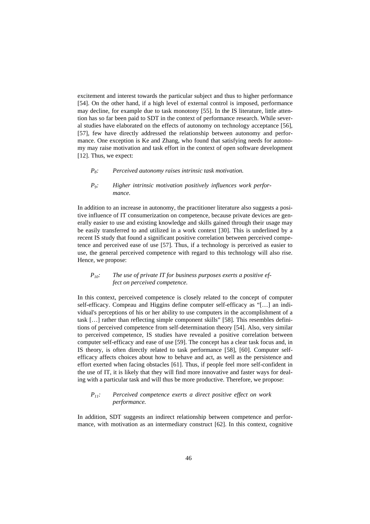excitement and interest towards the particular subject and thus to higher performance [54]. On the other hand, if a high level of external control is imposed, performance may decline, for example due to task monotony [55]. In the IS literature, little attention has so far been paid to SDT in the context of performance research. While several studies have elaborated on the effects of autonomy on technology acceptance [56], [57], few have directly addressed the relationship between autonomy and performance. One exception is Ke and Zhang, who found that satisfying needs for autonomy may raise motivation and task effort in the context of open software development [12]. Thus, we expect:

#### *P8: Perceived autonomy raises intrinsic task motivation.*

#### *P9: Higher intrinsic motivation positively influences work performance.*

In addition to an increase in autonomy, the practitioner literature also suggests a positive influence of IT consumerization on competence, because private devices are generally easier to use and existing knowledge and skills gained through their usage may be easily transferred to and utilized in a work context [30]. This is underlined by a recent IS study that found a significant positive correlation between perceived competence and perceived ease of use [57]. Thus, if a technology is perceived as easier to use, the general perceived competence with regard to this technology will also rise. Hence, we propose:

#### *P10: The use of private IT for business purposes exerts a positive effect on perceived competence.*

In this context, perceived competence is closely related to the concept of computer self-efficacy. Compeau and Higgins define computer self-efficacy as "[…] an individual's perceptions of his or her ability to use computers in the accomplishment of a task […] rather than reflecting simple component skills" [58]. This resembles definitions of perceived competence from self-determination theory [54]. Also, very similar to perceived competence, IS studies have revealed a positive correlation between computer self-efficacy and ease of use [59]. The concept has a clear task focus and, in IS theory, is often directly related to task performance [58], [60]. Computer selfefficacy affects choices about how to behave and act, as well as the persistence and effort exerted when facing obstacles [61]. Thus, if people feel more self-confident in the use of IT, it is likely that they will find more innovative and faster ways for dealing with a particular task and will thus be more productive. Therefore, we propose:

#### *P11: Perceived competence exerts a direct positive effect on work performance.*

In addition, SDT suggests an indirect relationship between competence and performance, with motivation as an intermediary construct [62]. In this context, cognitive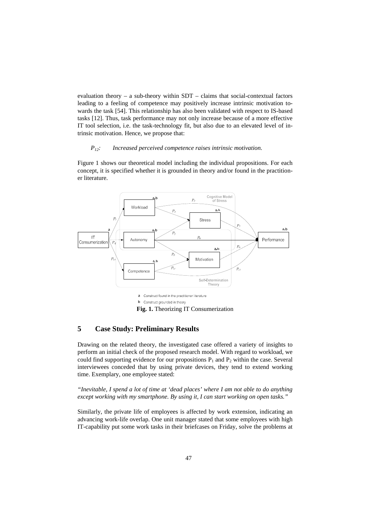evaluation theory – a sub-theory within  $SDT$  – claims that social-contextual factors leading to a feeling of competence may positively increase intrinsic motivation towards the task [54]. This relationship has also been validated with respect to IS-based tasks [12]. Thus, task performance may not only increase because of a more effective IT tool selection, i.e. the task-technology fit, but also due to an elevated level of intrinsic motivation. Hence, we propose that:

#### *P12: Increased perceived competence raises intrinsic motivation.*

Figure 1 shows our theoretical model including the individual propositions. For each concept, it is specified whether it is grounded in theory and/or found in the practitioner literature.



**Fig. 1.** Theorizing IT Consumerization

# **5 Case Study: Preliminary Results**

Drawing on the related theory, the investigated case offered a variety of insights to perform an initial check of the proposed research model. With regard to workload, we could find supporting evidence for our propositions  $P_1$  and  $P_2$  within the case. Several interviewees conceded that by using private devices, they tend to extend working time. Exemplary, one employee stated:

*"Inevitable, I spend a lot of time at 'dead places' where I am not able to do anything except working with my smartphone. By using it, I can start working on open tasks."*

Similarly, the private life of employees is affected by work extension, indicating an advancing work-life overlap. One unit manager stated that some employees with high IT-capability put some work tasks in their briefcases on Friday, solve the problems at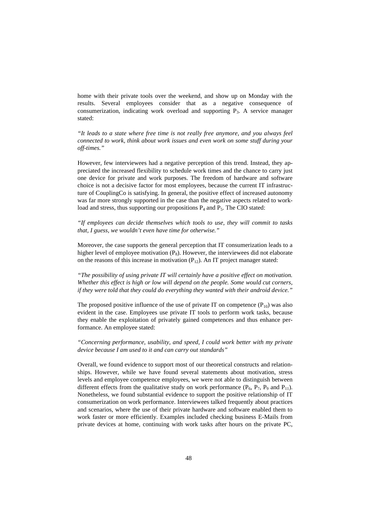home with their private tools over the weekend, and show up on Monday with the results. Several employees consider that as a negative consequence of consumerization, indicating work overload and supporting P3. A service manager stated:

*"It leads to a state where free time is not really free anymore, and you always feel connected to work, think about work issues and even work on some stuff during your off-times."*

However, few interviewees had a negative perception of this trend. Instead, they appreciated the increased flexibility to schedule work times and the chance to carry just one device for private and work purposes. The freedom of hardware and software choice is not a decisive factor for most employees, because the current IT infrastructure of CouplingCo is satisfying. In general, the positive effect of increased autonomy was far more strongly supported in the case than the negative aspects related to workload and stress, thus supporting our propositions  $P_4$  and  $P_5$ . The CIO stated:

*"If employees can decide themselves which tools to use, they will commit to tasks that, I guess, we wouldn't even have time for otherwise."*

Moreover, the case supports the general perception that IT consumerization leads to a higher level of employee motivation  $(P_8)$ . However, the interviewees did not elaborate on the reasons of this increase in motivation  $(P_{12})$ . An IT project manager stated:

*"The possibility of using private IT will certainly have a positive effect on motivation. Whether this effect is high or low will depend on the people. Some would cut corners, if they were told that they could do everything they wanted with their android device."*

The proposed positive influence of the use of private IT on competence  $(P_{10})$  was also evident in the case. Employees use private IT tools to perform work tasks, because they enable the exploitation of privately gained competences and thus enhance performance. An employee stated:

*"Concerning performance, usability, and speed, I could work better with my private device because I am used to it and can carry out standards"*

Overall, we found evidence to support most of our theoretical constructs and relationships. However, while we have found several statements about motivation, stress levels and employee competence employees, we were not able to distinguish between different effects from the qualitative study on work performance  $(P_6, P_7, P_9 \text{ and } P_{11})$ . Nonetheless, we found substantial evidence to support the positive relationship of IT consumerization on work performance. Interviewees talked frequently about practices and scenarios, where the use of their private hardware and software enabled them to work faster or more efficiently. Examples included checking business E-Mails from private devices at home, continuing with work tasks after hours on the private PC,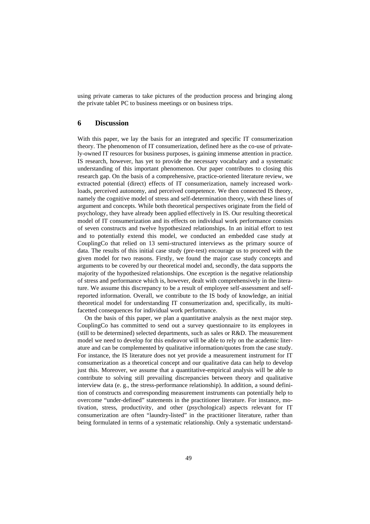using private cameras to take pictures of the production process and bringing along the private tablet PC to business meetings or on business trips.

# **6 Discussion**

With this paper, we lay the basis for an integrated and specific IT consumerization theory. The phenomenon of IT consumerization, defined here as the co-use of privately-owned IT resources for business purposes, is gaining immense attention in practice. IS research, however, has yet to provide the necessary vocabulary and a systematic understanding of this important phenomenon. Our paper contributes to closing this research gap. On the basis of a comprehensive, practice-oriented literature review, we extracted potential (direct) effects of IT consumerization, namely increased workloads, perceived autonomy, and perceived competence. We then connected IS theory, namely the cognitive model of stress and self-determination theory, with these lines of argument and concepts. While both theoretical perspectives originate from the field of psychology, they have already been applied effectively in IS. Our resulting theoretical model of IT consumerization and its effects on individual work performance consists of seven constructs and twelve hypothesized relationships. In an initial effort to test and to potentially extend this model, we conducted an embedded case study at CouplingCo that relied on 13 semi-structured interviews as the primary source of data. The results of this initial case study (pre-test) encourage us to proceed with the given model for two reasons. Firstly, we found the major case study concepts and arguments to be covered by our theoretical model and, secondly, the data supports the majority of the hypothesized relationships. One exception is the negative relationship of stress and performance which is, however, dealt with comprehensively in the literature. We assume this discrepancy to be a result of employee self-assessment and selfreported information. Overall, we contribute to the IS body of knowledge, an initial theoretical model for understanding IT consumerization and, specifically, its multifacetted consequences for individual work performance.

On the basis of this paper, we plan a quantitative analysis as the next major step. CouplingCo has committed to send out a survey questionnaire to its employees in (still to be determined) selected departments, such as sales or R&D. The measurement model we need to develop for this endeavor will be able to rely on the academic literature and can be complemented by qualitative information/quotes from the case study. For instance, the IS literature does not yet provide a measurement instrument for IT consumerization as a theoretical concept and our qualitative data can help to develop just this. Moreover, we assume that a quantitative-empirical analysis will be able to contribute to solving still prevailing discrepancies between theory and qualitative interview data (e. g., the stress-performance relationship). In addition, a sound definition of constructs and corresponding measurement instruments can potentially help to overcome "under-defined" statements in the practitioner literature. For instance, motivation, stress, productivity, and other (psychological) aspects relevant for IT consumerization are often "laundry-listed" in the practitioner literature, rather than being formulated in terms of a systematic relationship. Only a systematic understand-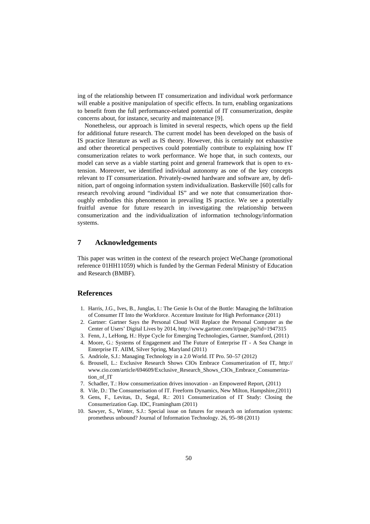ing of the relationship between IT consumerization and individual work performance will enable a positive manipulation of specific effects. In turn, enabling organizations to benefit from the full performance-related potential of IT consumerization, despite concerns about, for instance, security and maintenance [9].

Nonetheless, our approach is limited in several respects, which opens up the field for additional future research. The current model has been developed on the basis of IS practice literature as well as IS theory. However, this is certainly not exhaustive and other theoretical perspectives could potentially contribute to explaining how IT consumerization relates to work performance. We hope that, in such contexts, our model can serve as a viable starting point and general framework that is open to extension. Moreover, we identified individual autonomy as one of the key concepts relevant to IT consumerization. Privately-owned hardware and software are, by definition, part of ongoing information system individualization. Baskerville [60] calls for research revolving around "individual IS" and we note that consumerization thoroughly embodies this phenomenon in prevailing IS practice. We see a potentially fruitful avenue for future research in investigating the relationship between consumerization and the individualization of information technology/information systems.

# **7 Acknowledgements**

This paper was written in the context of the research project WeChange (promotional reference 01HH11059) which is funded by the German Federal Ministry of Education and Research (BMBF).

## **References**

- 1. Harris, J.G., Ives, B., Junglas, I.: The Genie Is Out of the Bottle: Managing the Infiltration of Consumer IT Into the Workforce. Accenture Institute for High Performance (2011)
- 2. Gartner: Gartner Says the Personal Cloud Will Replace the Personal Computer as the Center of Users' Digital Lives by 2014, http://www.gartner.com/it/page.jsp?id=1947315
- 3. Fenn, J., LeHong, H.: Hype Cycle for Emerging Technologies, Gartner, Stamford, (2011) 4. Moore, G.: Systems of Engagement and The Future of Enterprise IT - A Sea Change in Enterprise IT. AIIM, Silver Spring, Maryland (2011)
- 5. Andriole, S.J.: Managing Technology in a 2.0 World. IT Pro. 50–57 (2012)
- 6. Brousell, L.: Exclusive Research Shows CIOs Embrace Consumerization of IT, http:// www.cio.com/article/694609/Exclusive\_Research\_Shows\_CIOs\_Embrace\_Consumerization\_of\_IT
- 7. Schadler, T.: How consumerization drives innovation an Empowered Report, (2011)
- 8. Vile, D.: The Consumerisation of IT. Freeform Dynamics, New Milton, Hampshire,(2011)
- 9. Gens, F., Levitas, D., Segal, R.: 2011 Consumerization of IT Study: Closing the Consumerization Gap. IDC, Framingham (2011)
- 10. Sawyer, S., Winter, S.J.: Special issue on futures for research on information systems: prometheus unbound? Journal of Information Technology. 26, 95–98 (2011)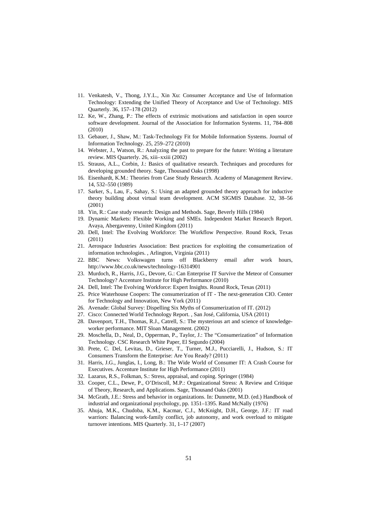- 11. Venkatesh, V., Thong, J.Y.L., Xin Xu: Consumer Acceptance and Use of Information Technology: Extending the Unified Theory of Acceptance and Use of Technology. MIS Quarterly. 36, 157–178 (2012)
- 12. Ke, W., Zhang, P.: The effects of extrinsic motivations and satisfaction in open source software development. Journal of the Association for Information Systems. 11, 784–808 (2010)
- 13. Gebauer, J., Shaw, M.: Task-Technology Fit for Mobile Information Systems. Journal of Information Technology. 25, 259–272 (2010)
- 14. Webster, J., Watson, R.: Analyzing the past to prepare for the future: Writing a literature review. MIS Quarterly. 26, xiii–xxiii (2002)
- 15. Strauss, A.L., Corbin, J.: Basics of qualitative research. Techniques and procedures for developing grounded theory. Sage, Thousand Oaks (1998)
- 16. Eisenhardt, K.M.: Theories from Case Study Research. Academy of Management Review. 14, 532–550 (1989)
- 17. Sarker, S., Lau, F., Sahay, S.: Using an adapted grounded theory approach for inductive theory building about virtual team development. ACM SIGMIS Database. 32, 38–56 (2001)
- 18. Yin, R.: Case study research: Design and Methods. Sage, Beverly Hills (1984)
- 19. Dynamic Markets: Flexible Working and SMEs. Independent Market Research Report. Avaya, Abergavenny, United Kingdom (2011)
- 20. Dell, Intel: The Evolving Workforce: The Workflow Perspective. Round Rock, Texas (2011)
- 21. Aerospace Industries Association: Best practices for exploiting the consumerization of information technologies. , Arlington, Virginia (2011)
- 22. BBC News: Volkswagen turns off Blackberry email after work hours, http://www.bbc.co.uk/news/technology-16314901
- 23. Murdoch, R., Harris, J.G., Devore, G.: Can Enterprise IT Survive the Meteor of Consumer Technology? Accenture Institute for High Performance (2010)
- 24. Dell, Intel: The Evolving Workforce: Expert Insights. Round Rock, Texas (2011)
- 25. Price Waterhouse Coopers: The consumerization of IT The next-generation CIO. Center for Technology and Innovation, New York (2011)
- 26. Avenade: Global Survey: Dispelling Six Myths of Consumerization of IT. (2012)
- 27. Cisco: Connected World Technology Report. , San José, California, USA (2011)
- 28. Davenport, T.H., Thomas, R.J., Catrell, S.: The mysterious art and science of knowledgeworker performance. MIT Sloan Management. (2002)
- 29. Moschella, D., Neal, D., Opperman, P., Taylor, J.: The "Consumerization" of Information Technology. CSC Research White Paper, El Segundo (2004)
- 30. Prete, C. Del, Levitas, D., Grieser, T., Turner, M.J., Pucciarelli, J., Hudson, S.: IT Consumers Transform the Enterprise: Are You Ready? (2011)
- 31. Harris, J.G., Junglas, I., Long, B.: The Wide World of Consumer IT: A Crash Course for Executives. Accenture Institute for High Performance (2011)
- 32. Lazarus, R.S., Folkman, S.: Stress, appraisal, and coping. Springer (1984)
- 33. Cooper, C.L., Dewe, P., O'Driscoll, M.P.: Organizational Stress: A Review and Critique of Theory, Research, and Applications. Sage, Thousand Oaks (2001)
- 34. McGrath, J.E.: Stress and behavior in organizations. In: Dunnette, M.D. (ed.) Handbook of industrial and organizational psychology, pp. 1351–1395. Rand McNally (1976)
- 35. Ahuja, M.K., Chudoba, K.M., Kacmar, C.J., McKnight, D.H., George, J.F.: IT road warriors: Balancing work-family conflict, job autonomy, and work overload to mitigate turnover intentions. MIS Quarterly. 31, 1–17 (2007)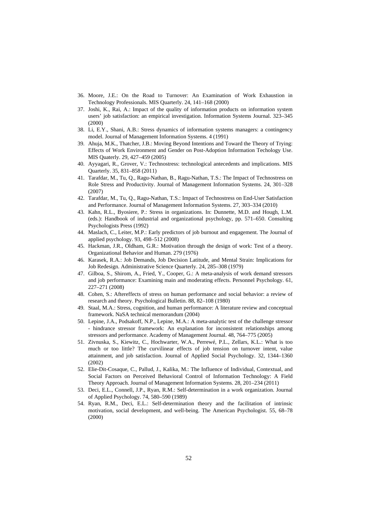- 36. Moore, J.E.: On the Road to Turnover: An Examination of Work Exhaustion in Technology Professionals. MIS Quarterly. 24, 141–168 (2000)
- 37. Joshi, K., Rai, A.: Impact of the quality of information products on information system users' job satisfaction: an empirical investigation. Information Systems Journal. 323–345 (2000)
- 38. Li, E.Y., Shani, A.B.: Stress dynamics of information systems managers: a contingency model. Journal of Management Information Systems. 4 (1991)
- 39. Ahuja, M.K., Thatcher, J.B.: Moving Beyond Intentions and Toward the Theory of Trying: Effects of Work Environment and Gender on Post-Adoption Information Techology Use. MIS Quaterly. 29, 427–459 (2005)
- 40. Ayyagari, R., Grover, V.: Technostress: technological antecedents and implications. MIS Quarterly. 35, 831–858 (2011)
- 41. Tarafdar, M., Tu, Q., Ragu-Nathan, B., Ragu-Nathan, T.S.: The Impact of Technostress on Role Stress and Productivity. Journal of Management Information Systems. 24, 301–328 (2007)
- 42. Tarafdar, M., Tu, Q., Ragu-Nathan, T.S.: Impact of Technostress on End-User Satisfaction and Performance. Journal of Management Information Systems. 27, 303–334 (2010)
- 43. Kahn, R.L., Byosiere, P.: Stress in organizations. In: Dunnette, M.D. and Hough, L.M. (eds.): Handbook of industrial and organizational psychology, pp. 571–650. Consulting Psychologists Press (1992)
- 44. Maslach, C., Leiter, M.P.: Early predictors of job burnout and engagement. The Journal of applied psychology. 93, 498–512 (2008)
- 45. Hackman, J.R., Oldham, G.R.: Motivation through the design of work: Test of a theory. Organizational Behavior and Human. 279 (1976)
- 46. Karasek, R.A.: Job Demands, Job Decision Latitude, and Mental Strain: Implications for Job Redesign. Administrative Science Quarterly. 24, 285–308 (1979)
- 47. Gilboa, S., Shirom, A., Fried, Y., Cooper, G.: A meta-analysis of work demand stressors and job performance: Examining main and moderating effects. Personnel Psychology. 61, 227–271 (2008)
- 48. Cohen, S.: Aftereffects of stress on human performance and social behavior: a review of research and theory. Psychological Bulletin. 88, 82–108 (1980)
- 49. Staal, M.A.: Stress, cognition, and human performance: A literature review and conceptual framework. NaSA technical memorandum (2004)
- 50. Lepine, J.A., Podsakoff, N.P., Lepine, M.A.: A meta-analytic test of the challenge stressor - hindrance stressor framework: An explanation for inconsistent relationships among stressors and performance. Academy of Management Journal. 48, 764–775 (2005)
- 51. Zivnuska, S., Kiewitz, C., Hochwarter, W.A., Perrewé, P.L., Zellars, K.L.: What is too much or too little? The curvilinear effects of job tension on turnover intent, value attainment, and job satisfaction. Journal of Applied Social Psychology. 32, 1344–1360 (2002)
- 52. Elie-Dit-Cosaque, C., Pallud, J., Kalika, M.: The Influence of Individual, Contextual, and Social Factors on Perceived Behavioral Control of Information Technology: A Field Theory Approach. Journal of Management Information Systems. 28, 201–234 (2011)
- 53. Deci, E.L., Connell, J.P., Ryan, R.M.: Self-determination in a work organization. Journal of Applied Psychology. 74, 580–590 (1989)
- 54. Ryan, R.M., Deci, E.L.: Self-determination theory and the facilitation of intrinsic motivation, social development, and well-being. The American Psychologist. 55, 68–78 (2000)